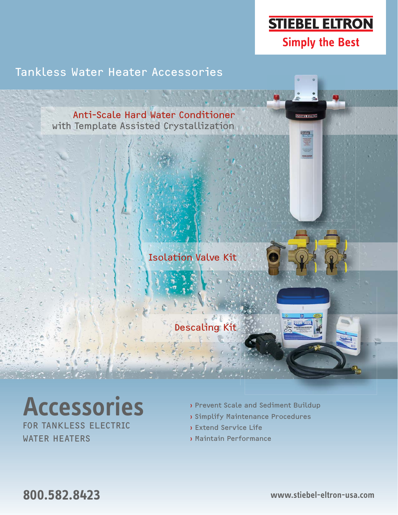# **STIEBEL ELTRON Simply the Best**

Tankless Water Heater Accessories



# **Accessories**

FOR TANKLESS ELECTRIC WATER HEATERS

- › Prevent Scale and Sediment Buildup
- › Simplify Maintenance Procedures
- › Extend Service Life
- › Maintain Performance

**800.582.8423 www.stiebel-eltron-usa.com**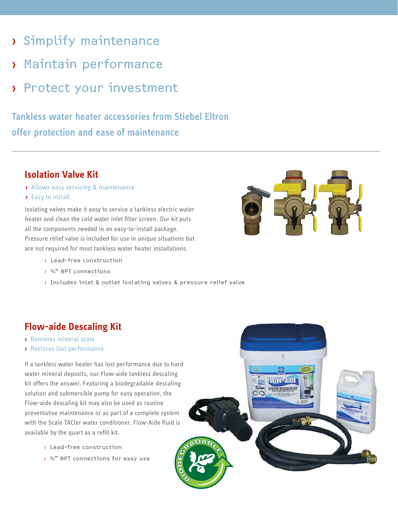- › Simplify maintenance
- › Maintain performance
- › Protect your investment

# **Tankless water heater accessories from Stiebel Eltron offer protection and ease of maintenance**

## **Isolation Valve Kit**

- **›** Allows easy servicing & maintenance
- **›** Easy to install

Isolating valves make it easy to service a tankless electric water heater and clean the cold water inlet filter screen. Our kit puts all the components needed in an easy-to-install package. Pressure relief valve is included for use in unique situations but are not required for most tankless water heater installations.

- › Lead-free construction
- › ¾" NPT connections
- › Includes inlet & outlet isolating valves & pressure relief valve

## **Flow-aide Descaling Kit**

- **›** Removes mineral scale
- **›** Restores lost performance

If a tankless water heater has lost performance due to hard water mineral deposits, our Flow-aide tankless descaling kit offers the answer. Featuring a biodegradable descaling solution and submersible pump for easy operation, the Flow-aide descaling kit may also be used as routine preventative maintenance or as part of a complete system with the Scale TACler water conditioner. Flow-Aide fluid is available by the quart as a refill kit.

- › Lead-free construction
- $\frac{3}{4}$  NPT connections for easy use



**C<sub>2</sub> LOWEAIDI ISTEM DESCALER**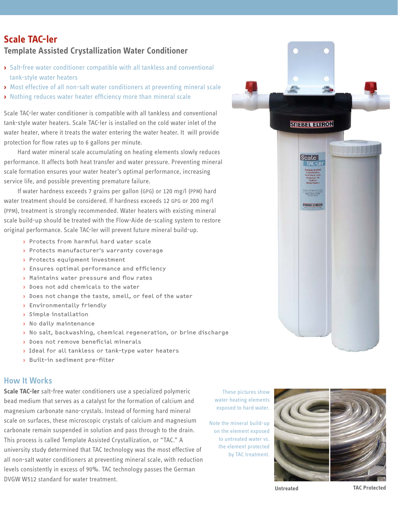### **Scale TAC-ler Template Assisted Crystallization Water Conditioner**

- **›** Salt-free water conditioner compatible with all tankless and conventional tank-style water heaters
- **›** Most effective of all non-salt water conditioners at preventing mineral scale
- **›** Nothing reduces water heater efficiency more than mineral scale

Scale TAC-ler water conditioner is compatible with all tankless and conventional tank-style water heaters. Scale TAC-ler is installed on the cold water inlet of the water heater, where it treats the water entering the water heater. It will provide protection for flow rates up to 6 gallons per minute.

Hard water mineral scale accumulating on heating elements slowly reduces performance. It affects both heat transfer and water pressure. Preventing mineral scale formation ensures your water heater's optimal performance, increasing service life, and possible preventing premature failure.

If water hardness exceeds 7 grains per gallon (GPG) or 120 mg/l (PPM) hard water treatment should be considered. If hardness exceeds 12 GPG or 200 mg/l (PPM), treatment is strongly recommended. Water heaters with existing mineral scale build-up should be treated with the Flow-Aide de-scaling system to restore original performance. Scale TAC-ler will prevent future mineral build-up.

- › Protects from harmful hard water scale
- › Protects manufacturer's warranty coverage
- › Protects equipment investment
- $\overline{\phantom{a}$  Ensures optimal performance and efficiency
- $\overline{\phantom{a}}$  Maintains water pressure and flow rates
- › Does not add chemicals to the water
- › Does not change the taste, smell, or feel of the water
- › Environmentally friendly
- › Simple installation
- › No daily maintenance
- › No salt, backwashing, chemical regeneration, or brine discharge
- $\lambda$  Does not remove beneficial minerals
- › Ideal for all tankless or tank-type water heaters
- Built-in sediment pre-filter

#### **How It Works**

**Scale TAC-ler** salt-free water conditioners use a specialized polymeric bead medium that serves as a catalyst for the formation of calcium and magnesium carbonate nano-crystals. Instead of forming hard mineral scale on surfaces, these microscopic crystals of calcium and magnesium carbonate remain suspended in solution and pass through to the drain. This process is called Template Assisted Crystallization, or "TAC." A university study determined that TAC technology was the most effective of all non-salt water conditioners at preventing mineral scale, with reduction levels consistently in excess of 90%. TAC technology passes the German DVGW W512 standard for water treatment.

These pictures show water heating elements exposed to hard water.

Note the mineral build-up on the element exposed to untreated water vs. the element protected by TAC treatment.



**STIEBEL ELTRON** 

**TIEBEL ELIR** 

**Untreated TAC Protected**